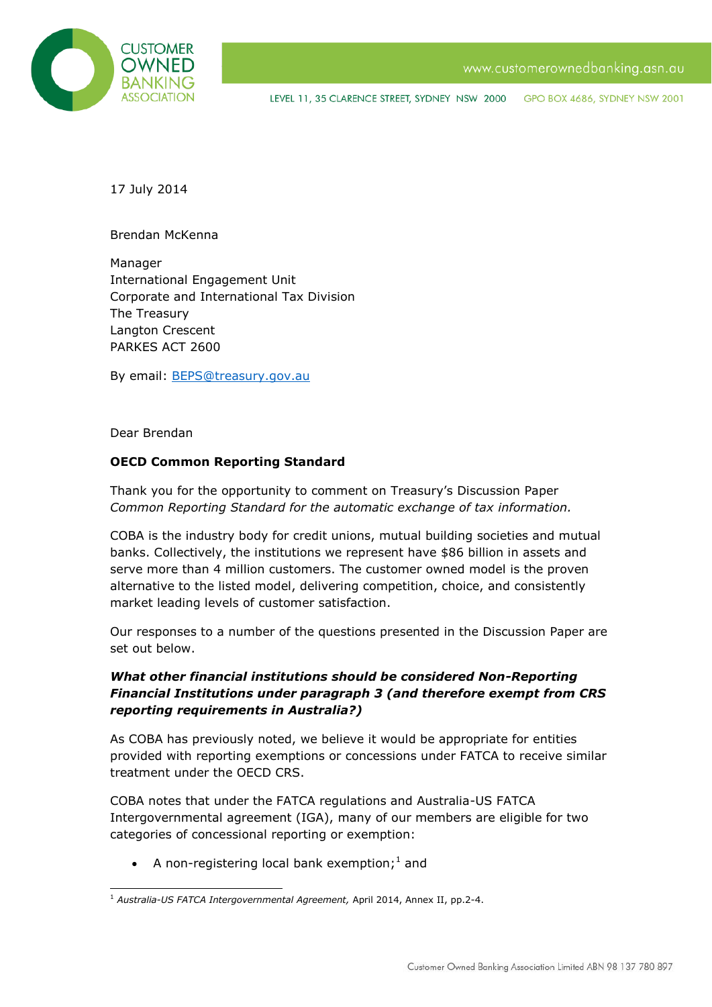

LEVEL 11, 35 CLARENCE STREET, SYDNEY NSW 2000 GPO BOX 4686, SYDNEY NSW 2001

17 July 2014

Brendan McKenna

Manager International Engagement Unit Corporate and International Tax Division The Treasury Langton Crescent PARKES ACT 2600

By email: [BEPS@treasury.gov.au](mailto:BEPS@treasury.gov.au)

Dear Brendan

## **OECD Common Reporting Standard**

Thank you for the opportunity to comment on Treasury's Discussion Paper *Common Reporting Standard for the automatic exchange of tax information.*

COBA is the industry body for credit unions, mutual building societies and mutual banks. Collectively, the institutions we represent have \$86 billion in assets and serve more than 4 million customers. The customer owned model is the proven alternative to the listed model, delivering competition, choice, and consistently market leading levels of customer satisfaction.

Our responses to a number of the questions presented in the Discussion Paper are set out below.

## *What other financial institutions should be considered Non-Reporting Financial Institutions under paragraph 3 (and therefore exempt from CRS reporting requirements in Australia?)*

As COBA has previously noted, we believe it would be appropriate for entities provided with reporting exemptions or concessions under FATCA to receive similar treatment under the OECD CRS.

COBA notes that under the FATCA regulations and Australia-US FATCA Intergovernmental agreement (IGA), many of our members are eligible for two categories of concessional reporting or exemption:

• A non-registering local bank exemption;<sup>1</sup> and

<sup>-</sup><sup>1</sup> *Australia-US FATCA Intergovernmental Agreement,* April 2014, Annex II, pp.2-4.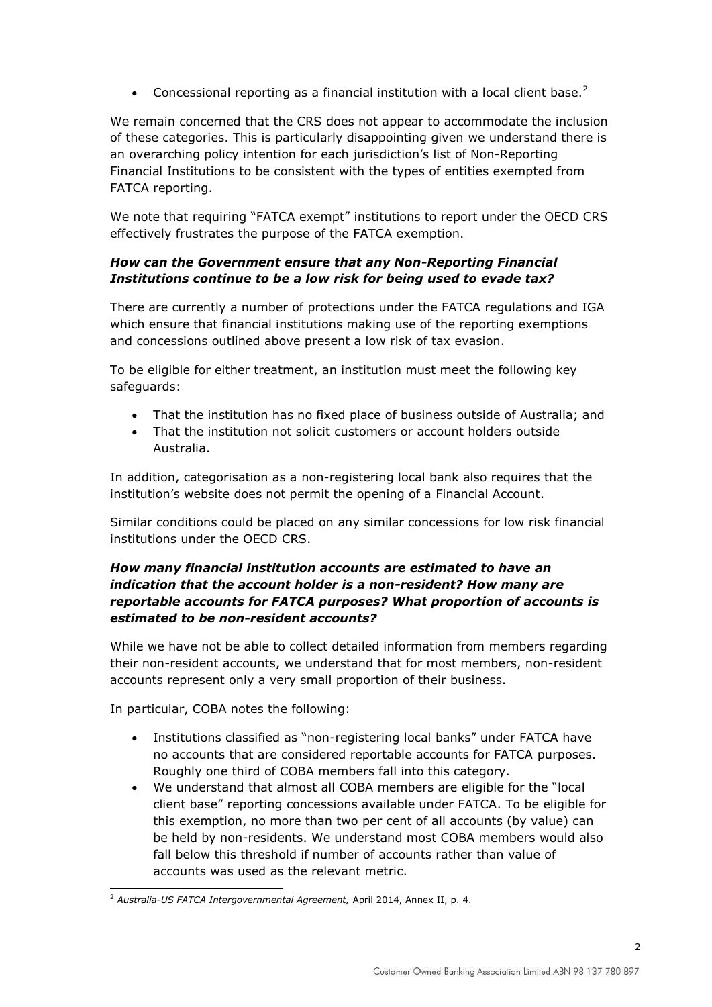• Concessional reporting as a financial institution with a local client base. $^2$ 

We remain concerned that the CRS does not appear to accommodate the inclusion of these categories. This is particularly disappointing given we understand there is an overarching policy intention for each jurisdiction's list of Non-Reporting Financial Institutions to be consistent with the types of entities exempted from FATCA reporting.

We note that requiring "FATCA exempt" institutions to report under the OECD CRS effectively frustrates the purpose of the FATCA exemption.

# *How can the Government ensure that any Non-Reporting Financial Institutions continue to be a low risk for being used to evade tax?*

There are currently a number of protections under the FATCA regulations and IGA which ensure that financial institutions making use of the reporting exemptions and concessions outlined above present a low risk of tax evasion.

To be eligible for either treatment, an institution must meet the following key safeguards:

- That the institution has no fixed place of business outside of Australia; and
- That the institution not solicit customers or account holders outside Australia.

In addition, categorisation as a non-registering local bank also requires that the institution's website does not permit the opening of a Financial Account.

Similar conditions could be placed on any similar concessions for low risk financial institutions under the OECD CRS.

# *How many financial institution accounts are estimated to have an indication that the account holder is a non-resident? How many are reportable accounts for FATCA purposes? What proportion of accounts is estimated to be non-resident accounts?*

While we have not be able to collect detailed information from members regarding their non-resident accounts, we understand that for most members, non-resident accounts represent only a very small proportion of their business.

In particular, COBA notes the following:

- Institutions classified as "non-registering local banks" under FATCA have no accounts that are considered reportable accounts for FATCA purposes. Roughly one third of COBA members fall into this category.
- We understand that almost all COBA members are eligible for the "local client base" reporting concessions available under FATCA. To be eligible for this exemption, no more than two per cent of all accounts (by value) can be held by non-residents. We understand most COBA members would also fall below this threshold if number of accounts rather than value of accounts was used as the relevant metric.

<sup>-</sup><sup>2</sup> *Australia-US FATCA Intergovernmental Agreement,* April 2014, Annex II, p. 4.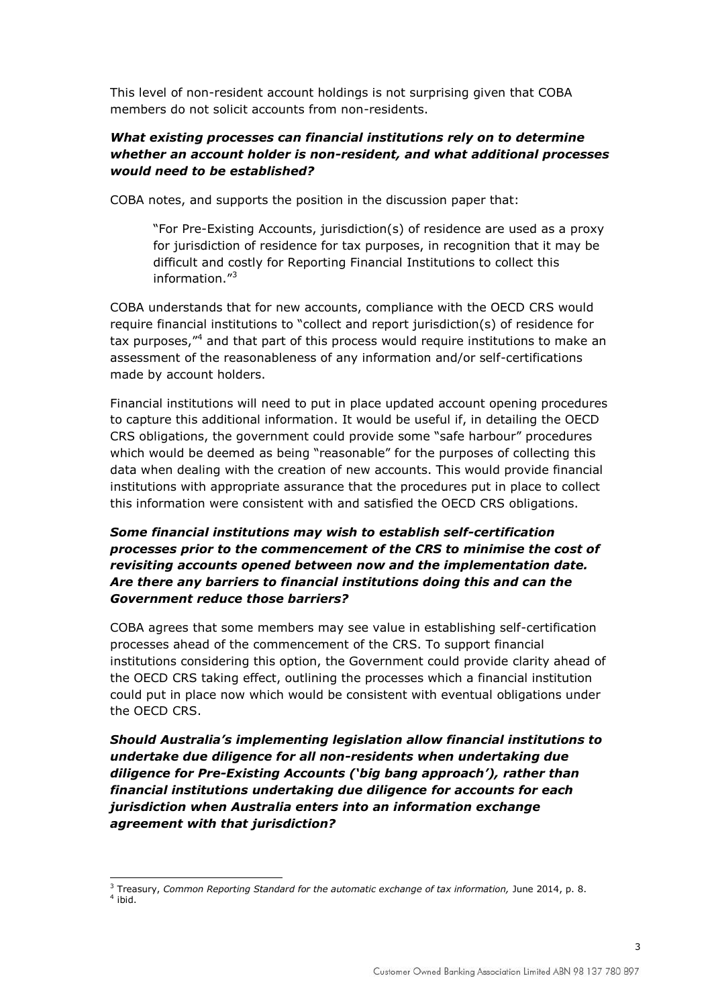This level of non-resident account holdings is not surprising given that COBA members do not solicit accounts from non-residents.

## *What existing processes can financial institutions rely on to determine whether an account holder is non-resident, and what additional processes would need to be established?*

COBA notes, and supports the position in the discussion paper that:

"For Pre-Existing Accounts, jurisdiction(s) of residence are used as a proxy for jurisdiction of residence for tax purposes, in recognition that it may be difficult and costly for Reporting Financial Institutions to collect this information."<sup>3</sup>

COBA understands that for new accounts, compliance with the OECD CRS would require financial institutions to "collect and report jurisdiction(s) of residence for tax purposes,"<sup>4</sup> and that part of this process would require institutions to make an assessment of the reasonableness of any information and/or self-certifications made by account holders.

Financial institutions will need to put in place updated account opening procedures to capture this additional information. It would be useful if, in detailing the OECD CRS obligations, the government could provide some "safe harbour" procedures which would be deemed as being "reasonable" for the purposes of collecting this data when dealing with the creation of new accounts. This would provide financial institutions with appropriate assurance that the procedures put in place to collect this information were consistent with and satisfied the OECD CRS obligations.

## *Some financial institutions may wish to establish self-certification processes prior to the commencement of the CRS to minimise the cost of revisiting accounts opened between now and the implementation date. Are there any barriers to financial institutions doing this and can the Government reduce those barriers?*

COBA agrees that some members may see value in establishing self-certification processes ahead of the commencement of the CRS. To support financial institutions considering this option, the Government could provide clarity ahead of the OECD CRS taking effect, outlining the processes which a financial institution could put in place now which would be consistent with eventual obligations under the OECD CRS.

*Should Australia's implementing legislation allow financial institutions to undertake due diligence for all non-residents when undertaking due diligence for Pre-Existing Accounts ('big bang approach'), rather than financial institutions undertaking due diligence for accounts for each jurisdiction when Australia enters into an information exchange agreement with that jurisdiction?*

 <sup>3</sup> Treasury, *Common Reporting Standard for the automatic exchange of tax information, June 2014, p. 8.* 4 ibid.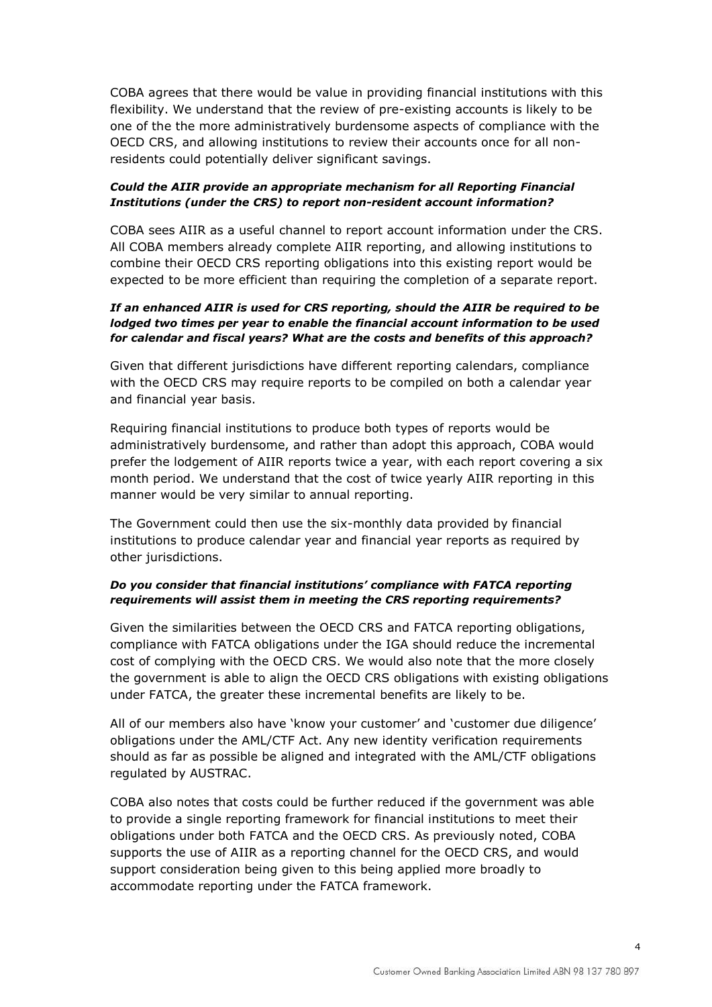COBA agrees that there would be value in providing financial institutions with this flexibility. We understand that the review of pre-existing accounts is likely to be one of the the more administratively burdensome aspects of compliance with the OECD CRS, and allowing institutions to review their accounts once for all nonresidents could potentially deliver significant savings.

#### *Could the AIIR provide an appropriate mechanism for all Reporting Financial Institutions (under the CRS) to report non-resident account information?*

COBA sees AIIR as a useful channel to report account information under the CRS. All COBA members already complete AIIR reporting, and allowing institutions to combine their OECD CRS reporting obligations into this existing report would be expected to be more efficient than requiring the completion of a separate report.

#### *If an enhanced AIIR is used for CRS reporting, should the AIIR be required to be lodged two times per year to enable the financial account information to be used for calendar and fiscal years? What are the costs and benefits of this approach?*

Given that different jurisdictions have different reporting calendars, compliance with the OECD CRS may require reports to be compiled on both a calendar year and financial year basis.

Requiring financial institutions to produce both types of reports would be administratively burdensome, and rather than adopt this approach, COBA would prefer the lodgement of AIIR reports twice a year, with each report covering a six month period. We understand that the cost of twice yearly AIIR reporting in this manner would be very similar to annual reporting.

The Government could then use the six-monthly data provided by financial institutions to produce calendar year and financial year reports as required by other jurisdictions.

## *Do you consider that financial institutions' compliance with FATCA reporting requirements will assist them in meeting the CRS reporting requirements?*

Given the similarities between the OECD CRS and FATCA reporting obligations, compliance with FATCA obligations under the IGA should reduce the incremental cost of complying with the OECD CRS. We would also note that the more closely the government is able to align the OECD CRS obligations with existing obligations under FATCA, the greater these incremental benefits are likely to be.

All of our members also have 'know your customer' and 'customer due diligence' obligations under the AML/CTF Act. Any new identity verification requirements should as far as possible be aligned and integrated with the AML/CTF obligations regulated by AUSTRAC.

COBA also notes that costs could be further reduced if the government was able to provide a single reporting framework for financial institutions to meet their obligations under both FATCA and the OECD CRS. As previously noted, COBA supports the use of AIIR as a reporting channel for the OECD CRS, and would support consideration being given to this being applied more broadly to accommodate reporting under the FATCA framework.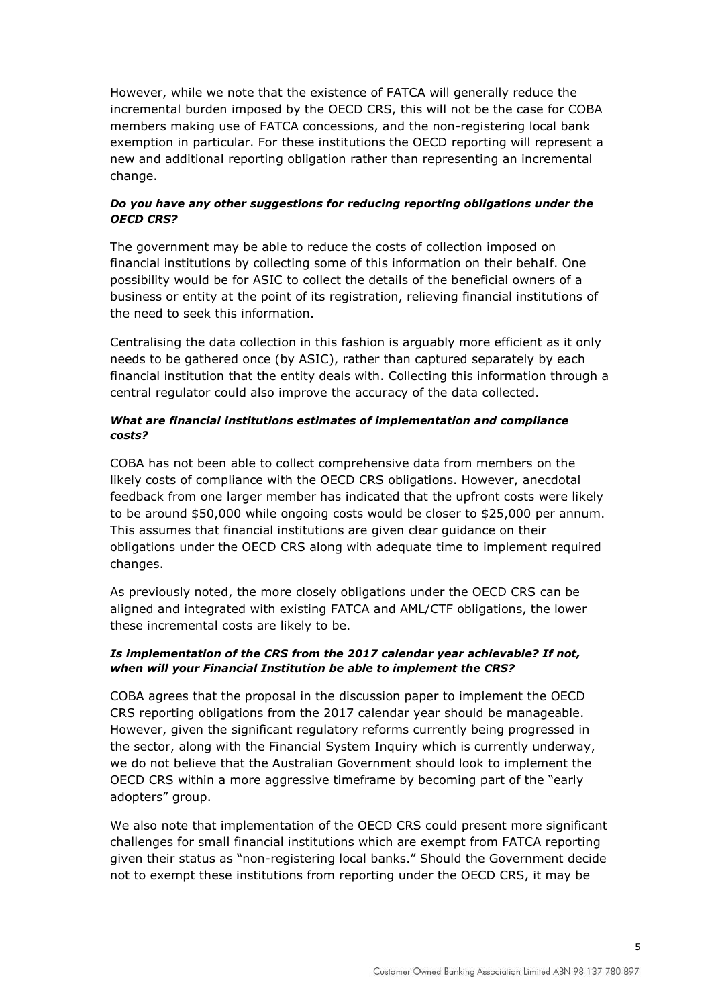However, while we note that the existence of FATCA will generally reduce the incremental burden imposed by the OECD CRS, this will not be the case for COBA members making use of FATCA concessions, and the non-registering local bank exemption in particular. For these institutions the OECD reporting will represent a new and additional reporting obligation rather than representing an incremental change.

## *Do you have any other suggestions for reducing reporting obligations under the OECD CRS?*

The government may be able to reduce the costs of collection imposed on financial institutions by collecting some of this information on their behalf. One possibility would be for ASIC to collect the details of the beneficial owners of a business or entity at the point of its registration, relieving financial institutions of the need to seek this information.

Centralising the data collection in this fashion is arguably more efficient as it only needs to be gathered once (by ASIC), rather than captured separately by each financial institution that the entity deals with. Collecting this information through a central regulator could also improve the accuracy of the data collected.

## *What are financial institutions estimates of implementation and compliance costs?*

COBA has not been able to collect comprehensive data from members on the likely costs of compliance with the OECD CRS obligations. However, anecdotal feedback from one larger member has indicated that the upfront costs were likely to be around \$50,000 while ongoing costs would be closer to \$25,000 per annum. This assumes that financial institutions are given clear guidance on their obligations under the OECD CRS along with adequate time to implement required changes.

As previously noted, the more closely obligations under the OECD CRS can be aligned and integrated with existing FATCA and AML/CTF obligations, the lower these incremental costs are likely to be.

## *Is implementation of the CRS from the 2017 calendar year achievable? If not, when will your Financial Institution be able to implement the CRS?*

COBA agrees that the proposal in the discussion paper to implement the OECD CRS reporting obligations from the 2017 calendar year should be manageable. However, given the significant regulatory reforms currently being progressed in the sector, along with the Financial System Inquiry which is currently underway, we do not believe that the Australian Government should look to implement the OECD CRS within a more aggressive timeframe by becoming part of the "early adopters" group.

We also note that implementation of the OECD CRS could present more significant challenges for small financial institutions which are exempt from FATCA reporting given their status as "non-registering local banks." Should the Government decide not to exempt these institutions from reporting under the OECD CRS, it may be